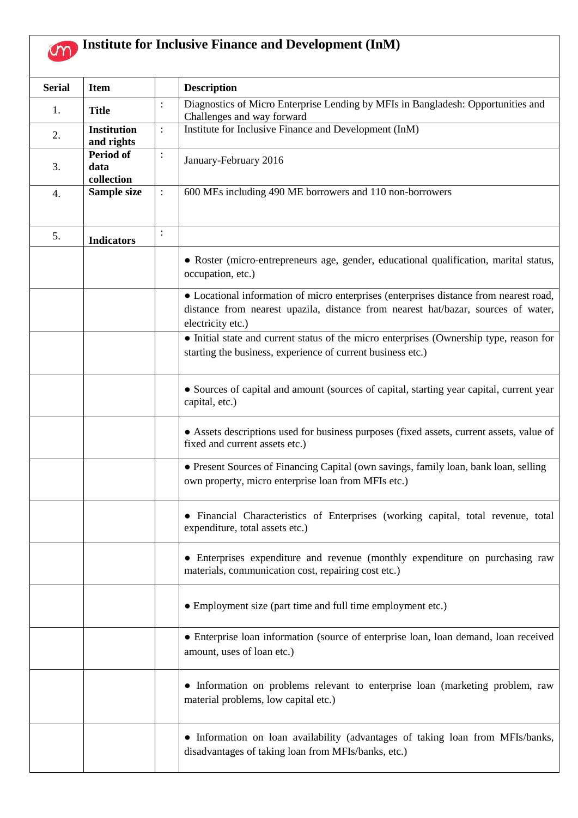## **Institute for Inclusive Finance and Development (InM)**

| <b>Serial</b> | <b>Item</b>                            |                | <b>Description</b>                                                                                                                                                                               |
|---------------|----------------------------------------|----------------|--------------------------------------------------------------------------------------------------------------------------------------------------------------------------------------------------|
| 1.            | <b>Title</b>                           | $\colon$       | Diagnostics of Micro Enterprise Lending by MFIs in Bangladesh: Opportunities and<br>Challenges and way forward                                                                                   |
| 2.            | <b>Institution</b><br>and rights       | $\ddot{\cdot}$ | Institute for Inclusive Finance and Development (InM)                                                                                                                                            |
| 3.            | <b>Period of</b><br>data<br>collection | $\vdots$       | January-February 2016                                                                                                                                                                            |
| 4.            | Sample size                            | $\ddot{\cdot}$ | 600 MEs including 490 ME borrowers and 110 non-borrowers                                                                                                                                         |
| 5.            | <b>Indicators</b>                      | $\colon$       |                                                                                                                                                                                                  |
|               |                                        |                | • Roster (micro-entrepreneurs age, gender, educational qualification, marital status,<br>occupation, etc.)                                                                                       |
|               |                                        |                | • Locational information of micro enterprises (enterprises distance from nearest road,<br>distance from nearest upazila, distance from nearest hat/bazar, sources of water,<br>electricity etc.) |
|               |                                        |                | • Initial state and current status of the micro enterprises (Ownership type, reason for<br>starting the business, experience of current business etc.)                                           |
|               |                                        |                | • Sources of capital and amount (sources of capital, starting year capital, current year<br>capital, etc.)                                                                                       |
|               |                                        |                | • Assets descriptions used for business purposes (fixed assets, current assets, value of<br>fixed and current assets etc.)                                                                       |
|               |                                        |                | • Present Sources of Financing Capital (own savings, family loan, bank loan, selling<br>own property, micro enterprise loan from MFIs etc.)                                                      |
|               |                                        |                | • Financial Characteristics of Enterprises (working capital, total revenue, total<br>expenditure, total assets etc.)                                                                             |
|               |                                        |                | • Enterprises expenditure and revenue (monthly expenditure on purchasing raw<br>materials, communication cost, repairing cost etc.)                                                              |
|               |                                        |                | • Employment size (part time and full time employment etc.)                                                                                                                                      |
|               |                                        |                | • Enterprise loan information (source of enterprise loan, loan demand, loan received<br>amount, uses of loan etc.)                                                                               |
|               |                                        |                | • Information on problems relevant to enterprise loan (marketing problem, raw<br>material problems, low capital etc.)                                                                            |
|               |                                        |                | • Information on loan availability (advantages of taking loan from MFIs/banks,<br>disadvantages of taking loan from MFIs/banks, etc.)                                                            |